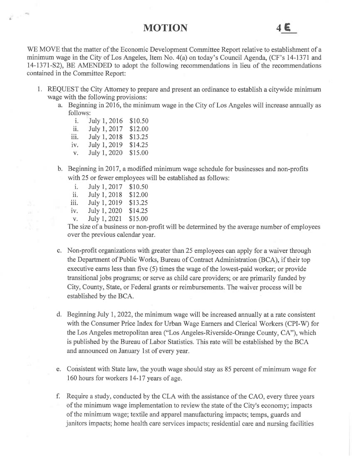MOTION  $4 \epsilon$ 

WE MOVE that the matter of the Economic Development Committee Report relative to establishment of a minimum wage in the City of Los Angeles, Item No. 4(a) on today's Council Agenda, (CF's 14-1371 and 14-1371-S2), BE AMENDED to adopt the following recommendations in lieu of the recommendations contained in the Committee Report:

- 1. REQUEST the City Attorney to prepare and present an ordinance to establish a citywide minimum wage with the following provisions:
	- a. Beginning in 2016, the minimum wage in the City of Los Angeles will increase annually as follows:
		- i. July 1, 2016 \$10.50 ii. July 1, 2017 \$12.00 iii. July 1, 2018 \$13.25 iv. July 1, 2019 \$14.25 v. July 1, 2020 \$15.00
	- b. Beginning in 2017, a modified minimum wage schedule for businesses and non-profits with 25 or fewer employees will be established as follows:
		- i. July 1, 2017 \$10.50
		- ii. July 1, 2018 \$12.00
		- iii. July 1, 2019 \$13.25
		- iv. July 1, 2020 \$14.25
		- v. July 1, 2021 \$15.00

The size of a business or non-profit will be determined by the average number of employees over the previous calendar year.

- c. Non-profit organizations with greater than 25 employees can apply for a waiver through the Department of Public Works, Bureau of Contract Administration (BCA), if their top executive earns less than five (5) times the wage of the lowest-paid worker; or provide transitional jobs programs; or serve as child care providers; or are primarily funded by City, County, State, or Federal grants or reimbursements. The waiver process will be established by the BCA.
- d. Beginning July 1, 2022, the minimum wage will be increased annually at a rate consistent with the Consumer Price Index for Urban Wage Earners and Clerical Workers (CPI-W) for the Los Angeles metropolitan area ("Los Angeles-Riverside-Orange County, CA"), which is published by the Bureau of Labor Statistics. This rate will be established by the BCA and announced on January 1st of every year.
- e. Consistent with State law, the youth wage should stay as 85 percent of minimum wage for 160 hours for workers 14-17 years of age.
- f. Require a study, conducted by the CLA with the assistance of the CAO, every three years of the minimum wage implementation to review the state of the City's economy; impacts of the minimum wage; textile and apparel manufacturing impacts; temps, guards and janitors impacts; home health care services impacts; residential care and nursing facilities